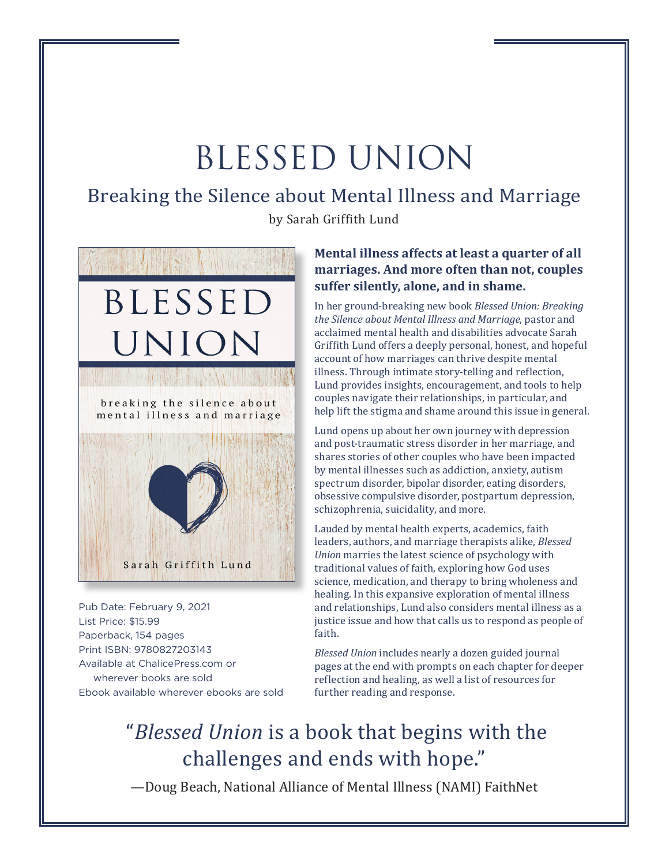# BLESSED UNION

### Breaking the Silence about Mental Illness and Marriage

by Sarah Griffith Lund



Pub Date: February 9, 2021 List Price: \$15.99 Paperback, 154 pages Print ISBN: 9780827203143 Available at ChalicePress.com or wherever books are sold Ebook available wherever ebooks are sold

#### **Mental illness affects at least a quarter of all marriages. And more often than not, couples suffer silently, alone, and in shame.**

In her ground-breaking new book *Blessed Union: Breaking the Silence about Mental Illness and Marriage*, pastor and acclaimed mental health and disabilities advocate Sarah Griffith Lund offers a deeply personal, honest, and hopeful account of how marriages can thrive despite mental illness. Through intimate story-telling and reflection, Lund provides insights, encouragement, and tools to help couples navigate their relationships, in particular, and help lift the stigma and shame around this issue in general.

Lund opens up about her own journey with depression and post-traumatic stress disorder in her marriage, and shares stories of other couples who have been impacted by mental illnesses such as addiction, anxiety, autism spectrum disorder, bipolar disorder, eating disorders, obsessive compulsive disorder, postpartum depression, schizophrenia, suicidality, and more.

Lauded by mental health experts, academics, faith leaders, authors, and marriage therapists alike, *Blessed Union* marries the latest science of psychology with traditional values of faith, exploring how God uses science, medication, and therapy to bring wholeness and healing. In this expansive exploration of mental illness and relationships, Lund also considers mental illness as a justice issue and how that calls us to respond as people of faith.

*Blessed Union* includes nearly a dozen guided journal pages at the end with prompts on each chapter for deeper reflection and healing, as well a list of resources for further reading and response.

# "*Blessed Union* is a book that begins with the challenges and ends with hope."

—Doug Beach, National Alliance of Mental Illness (NAMI) FaithNet